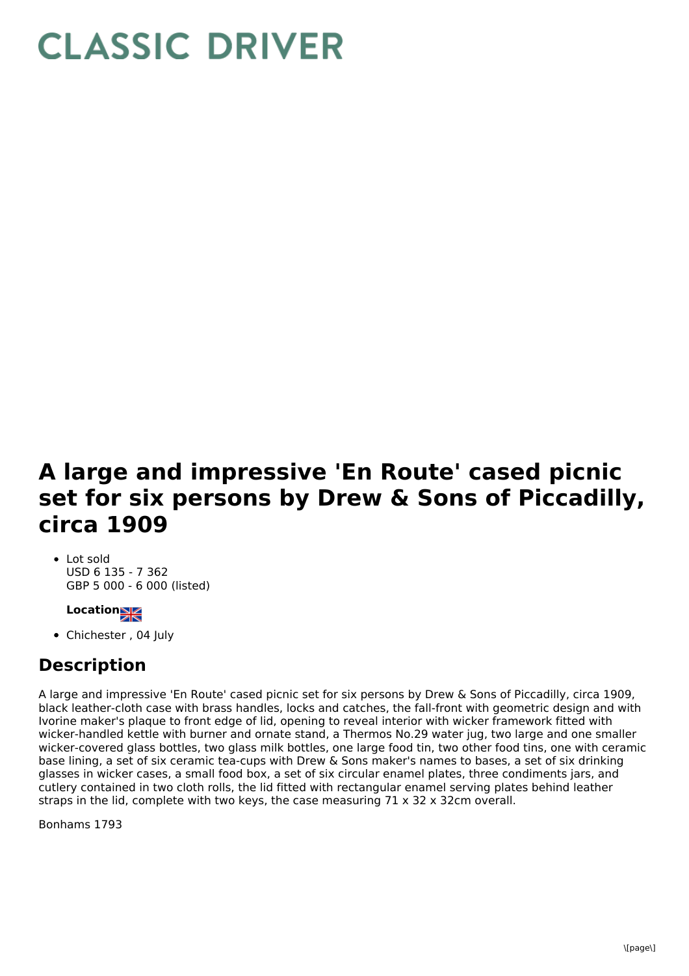## **CLASSIC DRIVER**

## **A large and impressive 'En Route' cased picnic set for six persons by Drew & Sons of Piccadilly, circa 1909**

• Lot sold USD 6 135 - 7 362 GBP 5 000 - 6 000 (listed)

## **Location**

• Chichester, 04 July

## **Description**

A large and impressive 'En Route' cased picnic set for six persons by Drew & Sons of Piccadilly, circa 1909, black leather-cloth case with brass handles, locks and catches, the fall-front with geometric design and with Ivorine maker's plaque to front edge of lid, opening to reveal interior with wicker framework fitted with wicker-handled kettle with burner and ornate stand, a Thermos No.29 water jug, two large and one smaller wicker-covered glass bottles, two glass milk bottles, one large food tin, two other food tins, one with ceramic base lining, a set of six ceramic tea-cups with Drew & Sons maker's names to bases, a set of six drinking glasses in wicker cases, a small food box, a set of six circular enamel plates, three condiments jars, and cutlery contained in two cloth rolls, the lid fitted with rectangular enamel serving plates behind leather straps in the lid, complete with two keys, the case measuring  $71 \times 32 \times 32$ cm overall.

Bonhams 1793